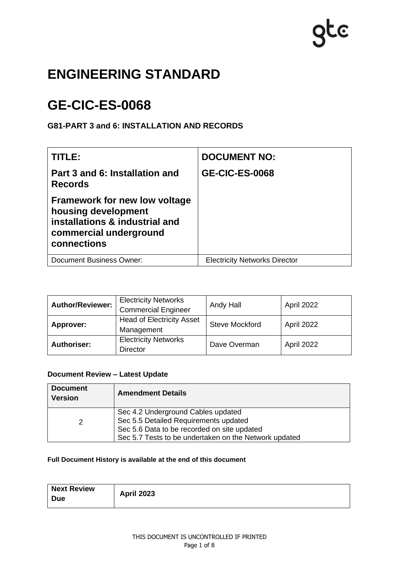# gte

# **ENGINEERING STANDARD**

# **GE-CIC-ES-0068**

# **G81-PART 3 and 6: INSTALLATION AND RECORDS**

| TITLE:                                                                                                                                 | <b>DOCUMENT NO:</b>                  |
|----------------------------------------------------------------------------------------------------------------------------------------|--------------------------------------|
| Part 3 and 6: Installation and<br><b>Records</b>                                                                                       | <b>GE-CIC-ES-0068</b>                |
| <b>Framework for new low voltage</b><br>housing development<br>installations & industrial and<br>commercial underground<br>connections |                                      |
| <b>Document Business Owner:</b>                                                                                                        | <b>Electricity Networks Director</b> |

| <b>Author/Reviewer:</b> | <b>Electricity Networks</b><br><b>Commercial Engineer</b> | Andy Hall             | April 2022 |
|-------------------------|-----------------------------------------------------------|-----------------------|------------|
| Approver:               | <b>Head of Electricity Asset</b><br>Management            | <b>Steve Mockford</b> | April 2022 |
| <b>Authoriser:</b>      | <b>Electricity Networks</b><br><b>Director</b>            | Dave Overman          | April 2022 |

#### **Document Review – Latest Update**

| <b>Document</b><br><b>Version</b> | <b>Amendment Details</b>                                                                                                                                                            |
|-----------------------------------|-------------------------------------------------------------------------------------------------------------------------------------------------------------------------------------|
| 2                                 | Sec 4.2 Underground Cables updated<br>Sec 5.5 Detailed Requirements updated<br>Sec 5.6 Data to be recorded on site updated<br>Sec 5.7 Tests to be undertaken on the Network updated |

#### **Full Document History is available at the end of this document**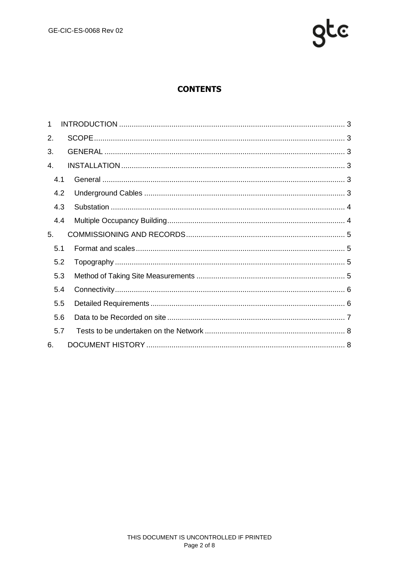

# **CONTENTS**

| 1   |  |
|-----|--|
| 2.  |  |
| 3.  |  |
| 4.  |  |
| 4.1 |  |
| 4.2 |  |
| 4.3 |  |
| 4.4 |  |
| 5.  |  |
| 5.1 |  |
| 5.2 |  |
| 5.3 |  |
| 5.4 |  |
| 5.5 |  |
| 5.6 |  |
| 5.7 |  |
| 6.  |  |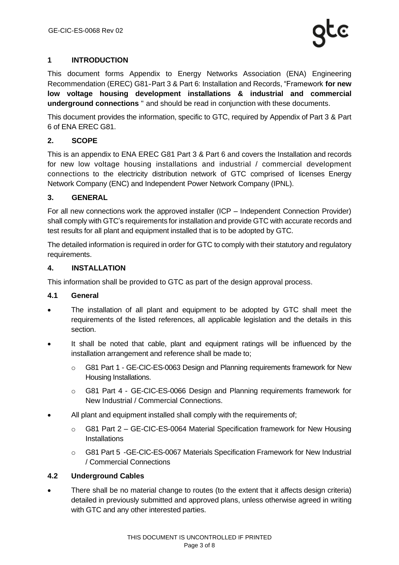# <span id="page-2-0"></span>**1 INTRODUCTION**

This document forms Appendix to Energy Networks Association (ENA) Engineering Recommendation (EREC) G81‐Part 3 & Part 6: Installation and Records, "Framework **for new low voltage housing development installations & industrial and commercial underground connections** " and should be read in conjunction with these documents.

This document provides the information, specific to GTC, required by Appendix of Part 3 & Part 6 of ENA EREC G81.

# <span id="page-2-1"></span>**2. SCOPE**

This is an appendix to ENA EREC G81 Part 3 & Part 6 and covers the Installation and records for new low voltage housing installations and industrial / commercial development connections to the electricity distribution network of GTC comprised of licenses Energy Network Company (ENC) and Independent Power Network Company (IPNL).

# <span id="page-2-2"></span>**3. GENERAL**

For all new connections work the approved installer (ICP – Independent Connection Provider) shall comply with GTC's requirements for installation and provide GTC with accurate records and test results for all plant and equipment installed that is to be adopted by GTC.

The detailed information is required in order for GTC to comply with their statutory and regulatory requirements.

#### <span id="page-2-3"></span>**4. INSTALLATION**

This information shall be provided to GTC as part of the design approval process.

# <span id="page-2-4"></span>**4.1 General**

- The installation of all plant and equipment to be adopted by GTC shall meet the requirements of the listed references, all applicable legislation and the details in this section.
- It shall be noted that cable, plant and equipment ratings will be influenced by the installation arrangement and reference shall be made to;
	- o G81 Part 1 GE-CIC-ES-0063 Design and Planning requirements framework for New Housing Installations.
	- o G81 Part 4 GE-CIC-ES-0066 Design and Planning requirements framework for New Industrial / Commercial Connections.
- All plant and equipment installed shall comply with the requirements of;
	- o G81 Part 2 GE-CIC-ES-0064 Material Specification framework for New Housing **Installations**
	- o G81 Part 5 -GE-CIC-ES-0067 Materials Specification Framework for New Industrial / Commercial Connections

# <span id="page-2-5"></span>**4.2 Underground Cables**

There shall be no material change to routes (to the extent that it affects design criteria) detailed in previously submitted and approved plans, unless otherwise agreed in writing with GTC and any other interested parties.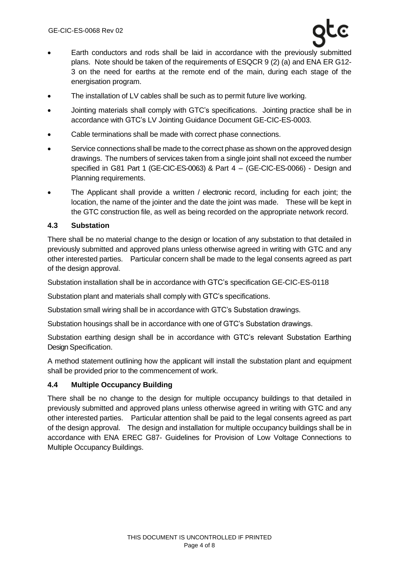- Earth conductors and rods shall be laid in accordance with the previously submitted plans. Note should be taken of the requirements of ESQCR 9 (2) (a) and ENA ER G12- 3 on the need for earths at the remote end of the main, during each stage of the energisation program.
- The installation of LV cables shall be such as to permit future live working.
- Jointing materials shall comply with GTC's specifications. Jointing practice shall be in accordance with GTC's LV Jointing Guidance Document GE-CIC-ES-0003.
- Cable terminations shall be made with correct phase connections.
- Service connections shall be made to the correct phase as shown on the approved design drawings. The numbers of services taken from a single joint shall not exceed the number specified in G81 Part 1 (GE-CIC-ES-0063) & Part 4 – (GE-CIC-ES-0066) - Design and Planning requirements.
- The Applicant shall provide a written / electronic record, including for each joint; the location, the name of the jointer and the date the joint was made. These will be kept in the GTC construction file, as well as being recorded on the appropriate network record.

#### <span id="page-3-0"></span>**4.3 Substation**

There shall be no material change to the design or location of any substation to that detailed in previously submitted and approved plans unless otherwise agreed in writing with GTC and any other interested parties. Particular concern shall be made to the legal consents agreed as part of the design approval.

Substation installation shall be in accordance with GTC's specification GE-CIC-ES-0118

Substation plant and materials shall comply with GTC's specifications.

Substation small wiring shall be in accordance with GTC's Substation drawings.

Substation housings shall be in accordance with one of GTC's Substation drawings.

Substation earthing design shall be in accordance with GTC's relevant Substation Earthing Design Specification.

A method statement outlining how the applicant will install the substation plant and equipment shall be provided prior to the commencement of work.

#### <span id="page-3-1"></span>**4.4 Multiple Occupancy Building**

There shall be no change to the design for multiple occupancy buildings to that detailed in previously submitted and approved plans unless otherwise agreed in writing with GTC and any other interested parties. Particular attention shall be paid to the legal consents agreed as part of the design approval. The design and installation for multiple occupancy buildings shall be in accordance with ENA EREC G87- Guidelines for Provision of Low Voltage Connections to Multiple Occupancy Buildings.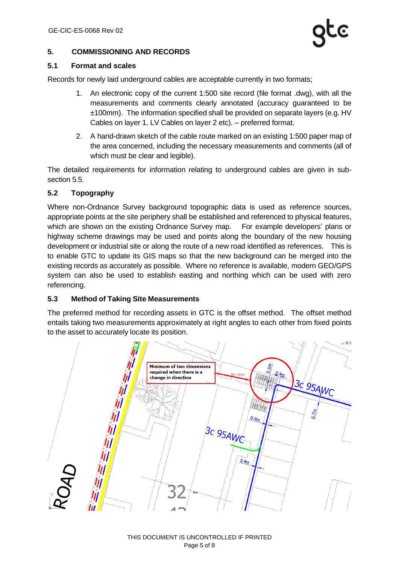#### <span id="page-4-0"></span>**5. COMMISSIONING AND RECORDS**

#### <span id="page-4-1"></span>**5.1 Format and scales**

Records for newly laid underground cables are acceptable currently in two formats;

- 1. An electronic copy of the current 1:500 site record (file format .dwg), with all the measurements and comments clearly annotated (accuracy guaranteed to be ±100mm). The information specified shall be provided on separate layers (e.g. HV Cables on layer 1, LV Cables on layer 2 etc). – preferred format.
- 2. A hand-drawn sketch of the cable route marked on an existing 1:500 paper map of the area concerned, including the necessary measurements and comments (all of which must be clear and legible).

The detailed requirements for information relating to underground cables are given in subsection 5.5.

#### <span id="page-4-2"></span>**5.2 Topography**

Where non-Ordnance Survey background topographic data is used as reference sources, appropriate points at the site periphery shall be established and referenced to physical features, which are shown on the existing Ordnance Survey map. For example developers' plans or highway scheme drawings may be used and points along the boundary of the new housing development or industrial site or along the route of a new road identified as references. This is to enable GTC to update its GIS maps so that the new background can be merged into the existing records as accurately as possible. Where no reference is available, modern GEO/GPS system can also be used to establish easting and northing which can be used with zero referencing.

#### <span id="page-4-3"></span>**5.3 Method of Taking Site Measurements**

The preferred method for recording assets in GTC is the offset method. The offset method entails taking two measurements approximately at right angles to each other from fixed points to the asset to accurately locate its position.

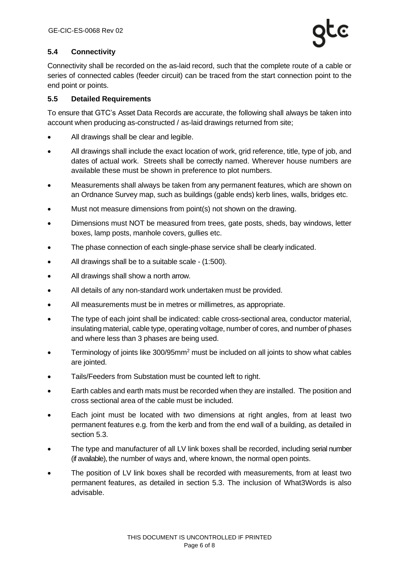# <span id="page-5-0"></span>**5.4 Connectivity**

Connectivity shall be recorded on the as-laid record, such that the complete route of a cable or series of connected cables (feeder circuit) can be traced from the start connection point to the end point or points.

#### <span id="page-5-1"></span>**5.5 Detailed Requirements**

To ensure that GTC's Asset Data Records are accurate, the following shall always be taken into account when producing as-constructed / as-laid drawings returned from site;

- All drawings shall be clear and legible.
- All drawings shall include the exact location of work, grid reference, title, type of job, and dates of actual work. Streets shall be correctly named. Wherever house numbers are available these must be shown in preference to plot numbers.
- Measurements shall always be taken from any permanent features, which are shown on an Ordnance Survey map, such as buildings (gable ends) kerb lines, walls, bridges etc.
- Must not measure dimensions from point(s) not shown on the drawing.
- Dimensions must NOT be measured from trees, gate posts, sheds, bay windows, letter boxes, lamp posts, manhole covers, gullies etc.
- The phase connection of each single-phase service shall be clearly indicated.
- All drawings shall be to a suitable scale (1:500).
- All drawings shall show a north arrow.
- All details of any non-standard work undertaken must be provided.
- All measurements must be in metres or millimetres, as appropriate.
- The type of each joint shall be indicated: cable cross-sectional area, conductor material, insulating material, cable type, operating voltage, number of cores, and number of phases and where less than 3 phases are being used.
- Terminology of joints like 300/95mm<sup>2</sup> must be included on all joints to show what cables are jointed.
- Tails/Feeders from Substation must be counted left to right.
- Earth cables and earth mats must be recorded when they are installed. The position and cross sectional area of the cable must be included.
- Each joint must be located with two dimensions at right angles, from at least two permanent features e.g. from the kerb and from the end wall of a building, as detailed in section 5.3.
- The type and manufacturer of all LV link boxes shall be recorded, including serial number (if available), the number of ways and, where known, the normal open points.
- The position of LV link boxes shall be recorded with measurements, from at least two permanent features, as detailed in section 5.3. The inclusion of What3Words is also advisable.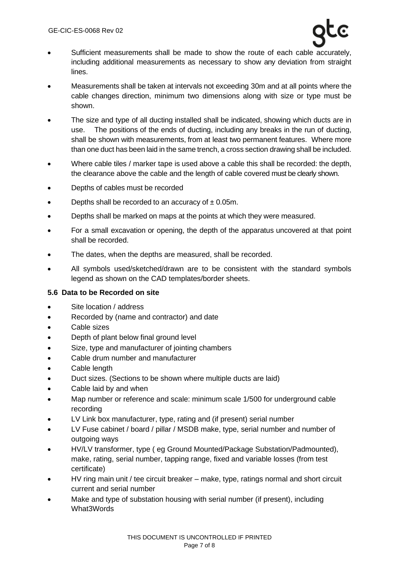- Sufficient measurements shall be made to show the route of each cable accurately, including additional measurements as necessary to show any deviation from straight lines.
- Measurements shall be taken at intervals not exceeding 30m and at all points where the cable changes direction, minimum two dimensions along with size or type must be shown.
- The size and type of all ducting installed shall be indicated, showing which ducts are in use. The positions of the ends of ducting, including any breaks in the run of ducting, shall be shown with measurements, from at least two permanent features. Where more than one duct has been laid in the same trench, a cross section drawing shall be included.
- Where cable tiles / marker tape is used above a cable this shall be recorded: the depth, the clearance above the cable and the length of cable covered must be clearly shown.
- Depths of cables must be recorded
- Depths shall be recorded to an accuracy of  $\pm$  0.05m.
- Depths shall be marked on maps at the points at which they were measured.
- For a small excavation or opening, the depth of the apparatus uncovered at that point shall be recorded.
- The dates, when the depths are measured, shall be recorded.
- All symbols used/sketched/drawn are to be consistent with the standard symbols legend as shown on the CAD templates/border sheets.

# <span id="page-6-0"></span>**5.6 Data to be Recorded on site**

- Site location / address
- Recorded by (name and contractor) and date
- Cable sizes
- Depth of plant below final ground level
- Size, type and manufacturer of jointing chambers
- Cable drum number and manufacturer
- Cable length
- Duct sizes. (Sections to be shown where multiple ducts are laid)
- Cable laid by and when
- Map number or reference and scale: minimum scale 1/500 for underground cable recording
- LV Link box manufacturer, type, rating and (if present) serial number
- LV Fuse cabinet / board / pillar / MSDB make, type, serial number and number of outgoing ways
- HV/LV transformer, type ( eg Ground Mounted/Package Substation/Padmounted), make, rating, serial number, tapping range, fixed and variable losses (from test certificate)
- HV ring main unit / tee circuit breaker make, type, ratings normal and short circuit current and serial number
- Make and type of substation housing with serial number (if present), including What3Words